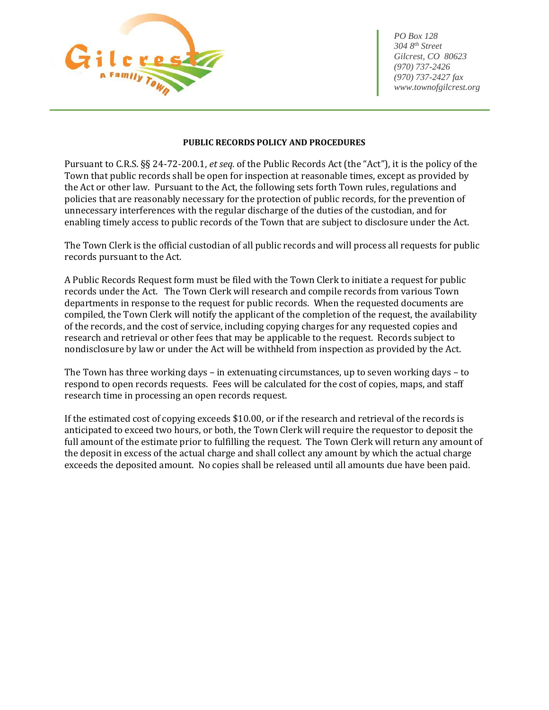

 *304 8th Street Gilcrest, CO 80623 (970) 737-2426 (970) 737-2427 fax www.townofgilcrest.org*

## **PUBLIC RECORDS POLICY AND PROCEDURES**

Pursuant to C.R.S. §§ 24-72-200.1, *et seq.* of the Public Records Act (the "Act"), it is the policy of the Town that public records shall be open for inspection at reasonable times, except as provided by the Act or other law. Pursuant to the Act, the following sets forth Town rules, regulations and policies that are reasonably necessary for the protection of public records, for the prevention of unnecessary interferences with the regular discharge of the duties of the custodian, and for enabling timely access to public records of the Town that are subject to disclosure under the Act.

The Town Clerk is the official custodian of all public records and will process all requests for public records pursuant to the Act.

A Public Records Request form must be filed with the Town Clerk to initiate a request for public records under the Act. The Town Clerk will research and compile records from various Town departments in response to the request for public records. When the requested documents are compiled, the Town Clerk will notify the applicant of the completion of the request, the availability of the records, and the cost of service, including copying charges for any requested copies and research and retrieval or other fees that may be applicable to the request. Records subject to nondisclosure by law or under the Act will be withheld from inspection as provided by the Act.

The Town has three working days – in extenuating circumstances, up to seven working days – to respond to open records requests. Fees will be calculated for the cost of copies, maps, and staff research time in processing an open records request.

If the estimated cost of copying exceeds \$10.00, or if the research and retrieval of the records is anticipated to exceed two hours, or both, the Town Clerk will require the requestor to deposit the full amount of the estimate prior to fulfilling the request. The Town Clerk will return any amount of the deposit in excess of the actual charge and shall collect any amount by which the actual charge exceeds the deposited amount. No copies shall be released until all amounts due have been paid.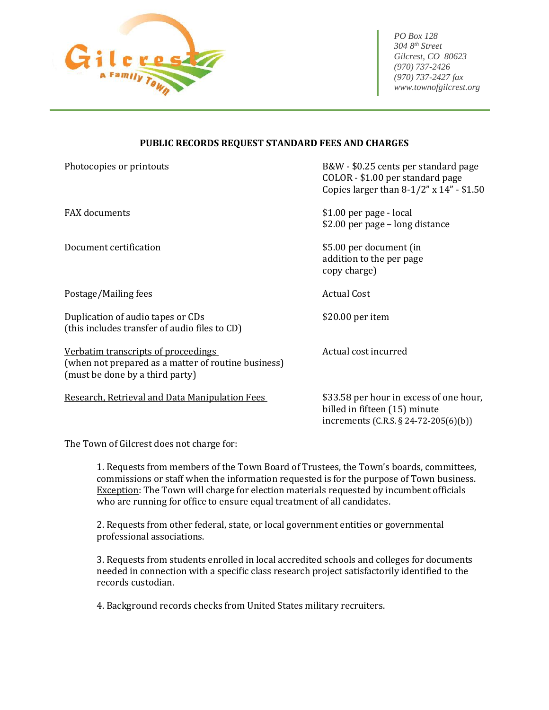

 *304 8th Street Gilcrest, CO 80623 (970) 737-2426 (970) 737-2427 fax www.townofgilcrest.org*

increments (C.R.S. § 24-72-205(6)(b))

## **PUBLIC RECORDS REQUEST STANDARD FEES AND CHARGES**

| Photocopies or printouts                                                                                                             | B&W - \$0.25 cents per standard page<br>COLOR - \$1.00 per standard page<br>Copies larger than $8-1/2$ " x $14$ " - \$1.50 |
|--------------------------------------------------------------------------------------------------------------------------------------|----------------------------------------------------------------------------------------------------------------------------|
| <b>FAX</b> documents                                                                                                                 | \$1.00 per page - local<br>\$2.00 per page - long distance                                                                 |
| Document certification                                                                                                               | \$5.00 per document (in<br>addition to the per page<br>copy charge)                                                        |
| Postage/Mailing fees                                                                                                                 | <b>Actual Cost</b>                                                                                                         |
| Duplication of audio tapes or CDs<br>(this includes transfer of audio files to CD)                                                   | \$20.00 per item                                                                                                           |
| <u>Verbatim transcripts of proceedings</u><br>(when not prepared as a matter of routine business)<br>(must be done by a third party) | Actual cost incurred                                                                                                       |
| Research, Retrieval and Data Manipulation Fees                                                                                       | \$33.58 per hour in excess of one hour,<br>billed in fifteen (15) minute                                                   |

The Town of Gilcrest does not charge for:

1. Requests from members of the Town Board of Trustees, the Town's boards, committees, commissions or staff when the information requested is for the purpose of Town business. Exception: The Town will charge for election materials requested by incumbent officials who are running for office to ensure equal treatment of all candidates.

2. Requests from other federal, state, or local government entities or governmental professional associations.

3. Requests from students enrolled in local accredited schools and colleges for documents needed in connection with a specific class research project satisfactorily identified to the records custodian.

4. Background records checks from United States military recruiters.